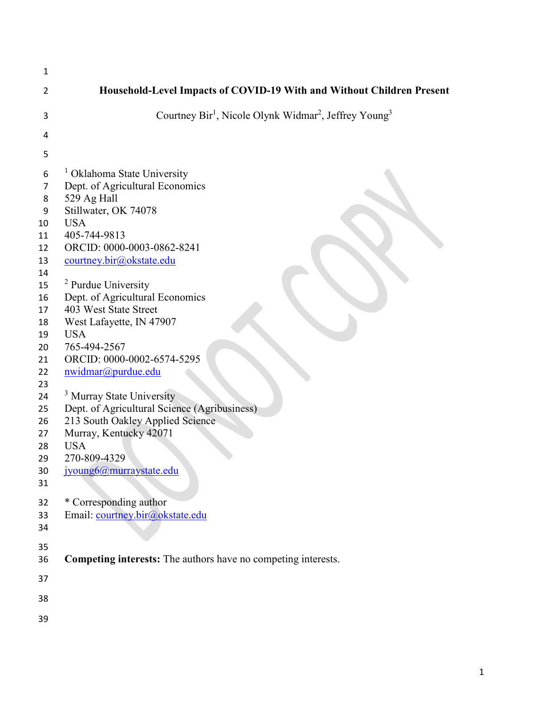| 1              |                                                                                           |
|----------------|-------------------------------------------------------------------------------------------|
| $\overline{2}$ | Household-Level Impacts of COVID-19 With and Without Children Present                     |
| 3              | Courtney Bir <sup>1</sup> , Nicole Olynk Widmar <sup>2</sup> , Jeffrey Young <sup>3</sup> |
| 4              |                                                                                           |
| 5              |                                                                                           |
| 6              | <sup>1</sup> Oklahoma State University                                                    |
| 7              | Dept. of Agricultural Economics                                                           |
| 8              | 529 Ag Hall                                                                               |
| 9              | Stillwater, OK 74078                                                                      |
| 10             | <b>USA</b>                                                                                |
| 11             | 405-744-9813                                                                              |
| 12             | ORCID: 0000-0003-0862-8241                                                                |
| 13             | courtney.bir@okstate.edu                                                                  |
| 14             |                                                                                           |
| 15             | <sup>2</sup> Purdue University                                                            |
| 16             | Dept. of Agricultural Economics                                                           |
| 17             | 403 West State Street                                                                     |
| 18             | West Lafayette, IN 47907                                                                  |
| 19             | <b>USA</b>                                                                                |
| 20             | 765-494-2567                                                                              |
| 21             | ORCID: 0000-0002-6574-5295                                                                |
| 22             | nwidmar@purdue.edu                                                                        |
| 23             |                                                                                           |
| 24             | <sup>3</sup> Murray State University                                                      |
| 25             | Dept. of Agricultural Science (Agribusiness)                                              |
| 26             | 213 South Oakley Applied Science                                                          |
| 27             | Murray, Kentucky 42071                                                                    |
| 28             | <b>USA</b>                                                                                |
| 29             | 270-809-4329                                                                              |
| 30             | jyoung6@murraystate.edu                                                                   |
| 31             |                                                                                           |
| 32             | * Corresponding author                                                                    |
| 33             | Email: courtney.bir@okstate.edu                                                           |
| 34             |                                                                                           |
|                |                                                                                           |
| 35             |                                                                                           |
| 36             | Competing interests: The authors have no competing interests.                             |
| 37             |                                                                                           |
| 38             |                                                                                           |
| 39             |                                                                                           |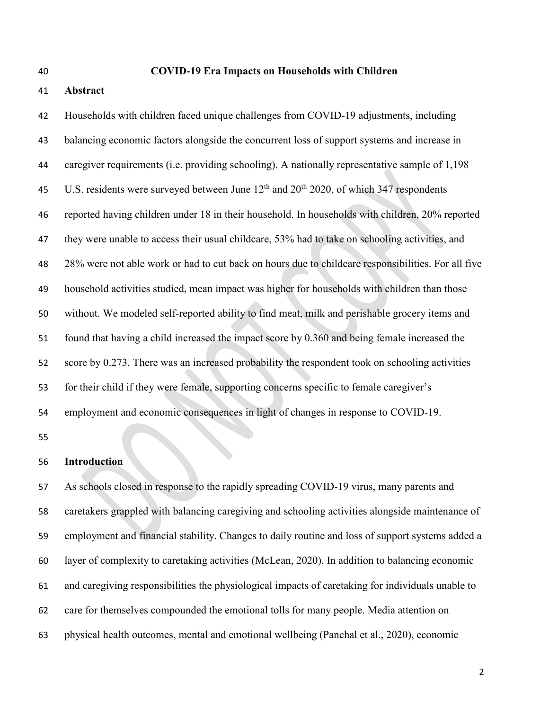#### **COVID-19 Era Impacts on Households with Children**

# **Abstract**

 Households with children faced unique challenges from COVID-19 adjustments, including balancing economic factors alongside the concurrent loss of support systems and increase in caregiver requirements (i.e. providing schooling). A nationally representative sample of 1,198 45 U.S. residents were surveyed between June  $12<sup>th</sup>$  and  $20<sup>th</sup>$  2020, of which 347 respondents reported having children under 18 in their household. In households with children, 20% reported they were unable to access their usual childcare, 53% had to take on schooling activities, and 28% were not able work or had to cut back on hours due to childcare responsibilities. For all five household activities studied, mean impact was higher for households with children than those without. We modeled self-reported ability to find meat, milk and perishable grocery items and found that having a child increased the impact score by 0.360 and being female increased the score by 0.273. There was an increased probability the respondent took on schooling activities for their child if they were female, supporting concerns specific to female caregiver's employment and economic consequences in light of changes in response to COVID-19.

#### **Introduction**

 As schools closed in response to the rapidly spreading COVID-19 virus, many parents and caretakers grappled with balancing caregiving and schooling activities alongside maintenance of employment and financial stability. Changes to daily routine and loss of support systems added a layer of complexity to caretaking activities (McLean, 2020). In addition to balancing economic and caregiving responsibilities the physiological impacts of caretaking for individuals unable to care for themselves compounded the emotional tolls for many people. Media attention on physical health outcomes, mental and emotional wellbeing (Panchal et al., 2020), economic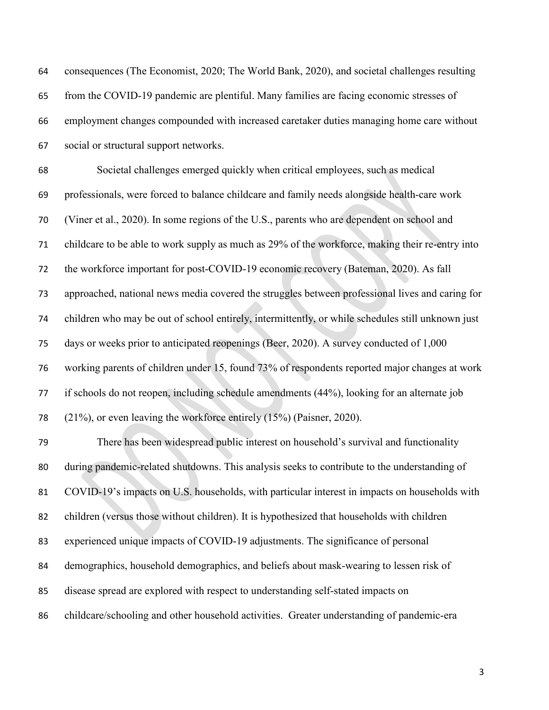| 64 | consequences (The Economist, 2020; The World Bank, 2020), and societal challenges resulting       |
|----|---------------------------------------------------------------------------------------------------|
| 65 | from the COVID-19 pandemic are plentiful. Many families are facing economic stresses of           |
| 66 | employment changes compounded with increased caretaker duties managing home care without          |
| 67 | social or structural support networks.                                                            |
| 68 | Societal challenges emerged quickly when critical employees, such as medical                      |
| 69 | professionals, were forced to balance childcare and family needs alongside health-care work       |
| 70 | (Viner et al., 2020). In some regions of the U.S., parents who are dependent on school and        |
| 71 | childcare to be able to work supply as much as 29% of the workforce, making their re-entry into   |
| 72 | the workforce important for post-COVID-19 economic recovery (Bateman, 2020). As fall              |
| 73 | approached, national news media covered the struggles between professional lives and caring for   |
| 74 | children who may be out of school entirely, intermittently, or while schedules still unknown just |
| 75 | days or weeks prior to anticipated reopenings (Beer, 2020). A survey conducted of 1,000           |
| 76 | working parents of children under 15, found 73% of respondents reported major changes at work     |
| 77 | if schools do not reopen, including schedule amendments (44%), looking for an alternate job       |
| 78 | (21%), or even leaving the workforce entirely (15%) (Paisner, 2020).                              |
| 79 | There has been widespread public interest on household's survival and functionality               |
| 80 | during pandemic-related shutdowns. This analysis seeks to contribute to the understanding of      |
| 81 | COVID-19's impacts on U.S. households, with particular interest in impacts on households with     |
| 82 | children (versus those without children). It is hypothesized that households with children        |
| 83 | experienced unique impacts of COVID-19 adjustments. The significance of personal                  |
| 84 | demographics, household demographics, and beliefs about mask-wearing to lessen risk of            |
| 85 | disease spread are explored with respect to understanding self-stated impacts on                  |
| 86 | childcare/schooling and other household activities. Greater understanding of pandemic-era         |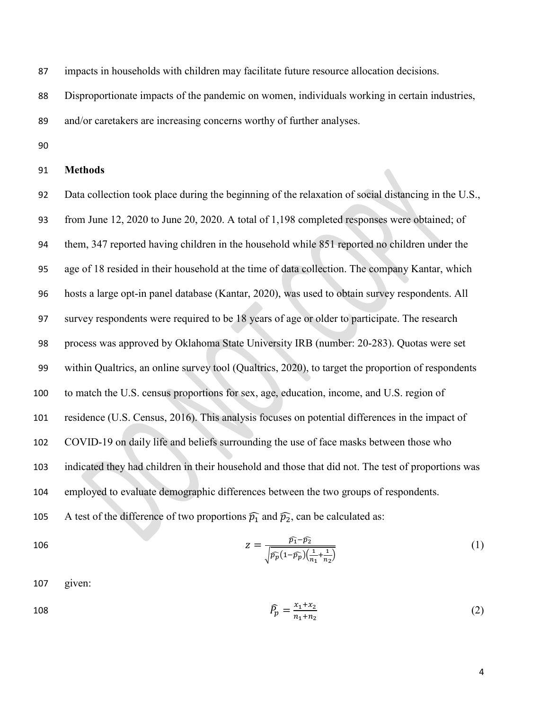impacts in households with children may facilitate future resource allocation decisions.

Disproportionate impacts of the pandemic on women, individuals working in certain industries,

and/or caretakers are increasing concerns worthy of further analyses.

## **Methods**

 Data collection took place during the beginning of the relaxation of social distancing in the U.S., from June 12, 2020 to June 20, 2020. A total of 1,198 completed responses were obtained; of them, 347 reported having children in the household while 851 reported no children under the age of 18 resided in their household at the time of data collection. The company Kantar, which hosts a large opt-in panel database (Kantar, 2020), was used to obtain survey respondents. All survey respondents were required to be 18 years of age or older to participate. The research process was approved by Oklahoma State University IRB (number: 20-283). Quotas were set within Qualtrics, an online survey tool (Qualtrics, 2020), to target the proportion of respondents to match the U.S. census proportions for sex, age, education, income, and U.S. region of residence (U.S. Census, 2016). This analysis focuses on potential differences in the impact of COVID-19 on daily life and beliefs surrounding the use of face masks between those who indicated they had children in their household and those that did not. The test of proportions was employed to evaluate demographic differences between the two groups of respondents. 105 A test of the difference of two proportions  $\widehat{p_1}$  and  $\widehat{p_2}$ , can be calculated as:

106 
$$
Z = \frac{\widehat{p_1} - \widehat{p_2}}{\sqrt{\widehat{p_p}(1 - \widehat{p_p})(\frac{1}{n_1} + \frac{1}{n_2})}}
$$
(1)

given:

108 
$$
\widehat{P}_p = \frac{x_1 + x_2}{n_1 + n_2} \tag{2}
$$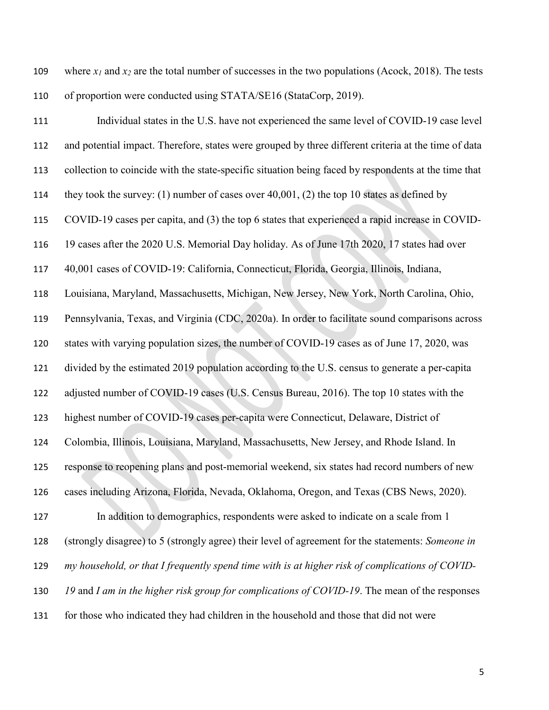- where *x1* and *x2* are the total number of successes in the two populations (Acock, 2018). The tests 110 of proportion were conducted using STATA/SE16 (StataCorp, 2019).
- Individual states in the U.S. have not experienced the same level of COVID-19 case level and potential impact. Therefore, states were grouped by three different criteria at the time of data collection to coincide with the state-specific situation being faced by respondents at the time that they took the survey: (1) number of cases over 40,001, (2) the top 10 states as defined by COVID-19 cases per capita, and (3) the top 6 states that experienced a rapid increase in COVID- 19 cases after the 2020 U.S. Memorial Day holiday. As of June 17th 2020, 17 states had over 40,001 cases of COVID-19: California, Connecticut, Florida, Georgia, Illinois, Indiana, Louisiana, Maryland, Massachusetts, Michigan, New Jersey, New York, North Carolina, Ohio, Pennsylvania, Texas, and Virginia (CDC, 2020a). In order to facilitate sound comparisons across states with varying population sizes, the number of COVID-19 cases as of June 17, 2020, was divided by the estimated 2019 population according to the U.S. census to generate a per-capita adjusted number of COVID-19 cases (U.S. Census Bureau, 2016). The top 10 states with the highest number of COVID-19 cases per-capita were Connecticut, Delaware, District of Colombia, Illinois, Louisiana, Maryland, Massachusetts, New Jersey, and Rhode Island. In response to reopening plans and post-memorial weekend, six states had record numbers of new cases including Arizona, Florida, Nevada, Oklahoma, Oregon, and Texas (CBS News, 2020). In addition to demographics, respondents were asked to indicate on a scale from 1 (strongly disagree) to 5 (strongly agree) their level of agreement for the statements: *Someone in my household, or that I frequently spend time with is at higher risk of complications of COVID- 19* and *I am in the higher risk group for complications of COVID-19*. The mean of the responses for those who indicated they had children in the household and those that did not were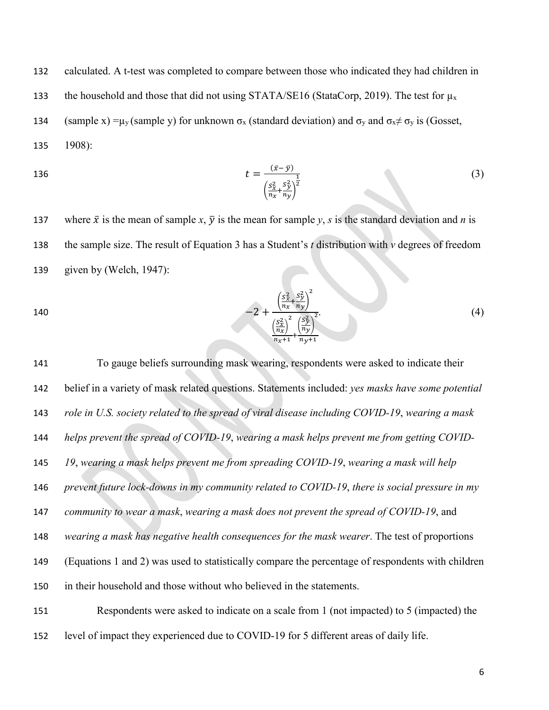132 calculated. A t-test was completed to compare between those who indicated they had children in 133 the household and those that did not using STATA/SE16 (StataCorp, 2019). The test for  $\mu_x$ 134 (sample x) = $\mu_v$  (sample y) for unknown  $\sigma_x$  (standard deviation) and  $\sigma_v$  and  $\sigma_x \neq \sigma_v$  is (Gosset, 135 1908):

136 
$$
t = \frac{(\bar{x} - \bar{y})}{\left(\frac{S_x^2}{n_x} + \frac{S_y^2}{n_y}\right)^{\frac{1}{2}}}
$$
 (3)

137 where  $\bar{x}$  is the mean of sample *x*,  $\bar{y}$  is the mean for sample *y*, *s* is the standard deviation and *n* is 138 the sample size. The result of Equation 3 has a Student's *t* distribution with *v* degrees of freedom 139 given by (Welch, 1947):

140 
$$
-2 + \frac{\left(\frac{S_x^2}{n_x} + \frac{S_y^2}{n_y}\right)^2}{\left(\frac{S_x^2}{n_x}\right)^2 + \left(\frac{S_y^2}{n_y}\right)^2}.
$$
 (4)

 To gauge beliefs surrounding mask wearing, respondents were asked to indicate their belief in a variety of mask related questions. Statements included: *yes masks have some potential role in U.S. society related to the spread of viral disease including COVID-19*, *wearing a mask helps prevent the spread of COVID-19*, *wearing a mask helps prevent me from getting COVID- 19*, *wearing a mask helps prevent me from spreading COVID-19*, *wearing a mask will help prevent future lock-downs in my community related to COVID-19*, *there is social pressure in my community to wear a mask*, *wearing a mask does not prevent the spread of COVID-19*, and *wearing a mask has negative health consequences for the mask wearer*. The test of proportions (Equations 1 and 2) was used to statistically compare the percentage of respondents with children in their household and those without who believed in the statements. Respondents were asked to indicate on a scale from 1 (not impacted) to 5 (impacted) the level of impact they experienced due to COVID-19 for 5 different areas of daily life.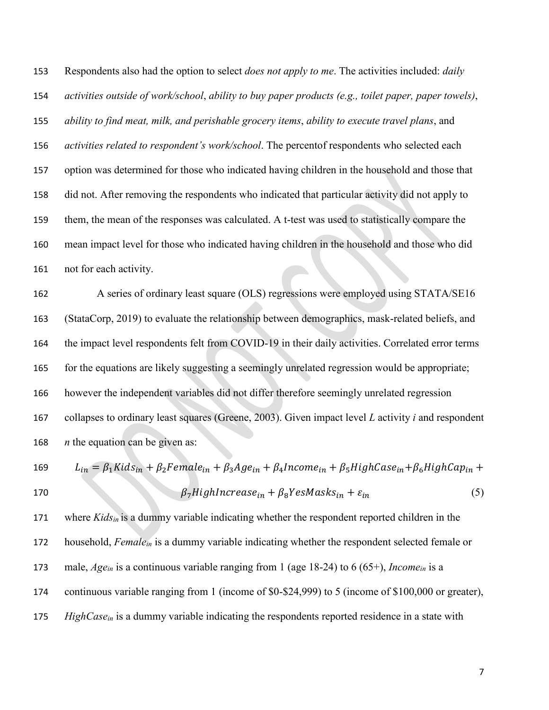Respondents also had the option to select *does not apply to me*. The activities included: *daily activities outside of work/school*, *ability to buy paper products (e.g., toilet paper, paper towels)*, *ability to find meat, milk, and perishable grocery items*, *ability to execute travel plans*, and *activities related to respondent's work/school*. The percentof respondents who selected each option was determined for those who indicated having children in the household and those that did not. After removing the respondents who indicated that particular activity did not apply to them, the mean of the responses was calculated. A t-test was used to statistically compare the mean impact level for those who indicated having children in the household and those who did not for each activity.

 A series of ordinary least square (OLS) regressions were employed using STATA/SE16 (StataCorp, 2019) to evaluate the relationship between demographics, mask-related beliefs, and the impact level respondents felt from COVID-19 in their daily activities. Correlated error terms for the equations are likely suggesting a seemingly unrelated regression would be appropriate; however the independent variables did not differ therefore seemingly unrelated regression collapses to ordinary least squares (Greene, 2003). Given impact level *L* activity *i* and respondent *n* the equation can be given as:

169 
$$
L_{in} = \beta_1 K i d s_{in} + \beta_2 F e m a le_{in} + \beta_3 A g e_{in} + \beta_4 Income_{in} + \beta_5 High Case_{in} + \beta_6 High Cap_{in} + \beta_7 High Increase_{in} + \beta_8 YesMask_{in} + \varepsilon_{in}
$$
 (5)

 where *Kidsin* is a dummy variable indicating whether the respondent reported children in the household, *Femalein* is a dummy variable indicating whether the respondent selected female or male, *Agein* is a continuous variable ranging from 1 (age 18-24) to 6 (65+), *Incomein* is a continuous variable ranging from 1 (income of \$0-\$24,999) to 5 (income of \$100,000 or greater), *HighCasein* is a dummy variable indicating the respondents reported residence in a state with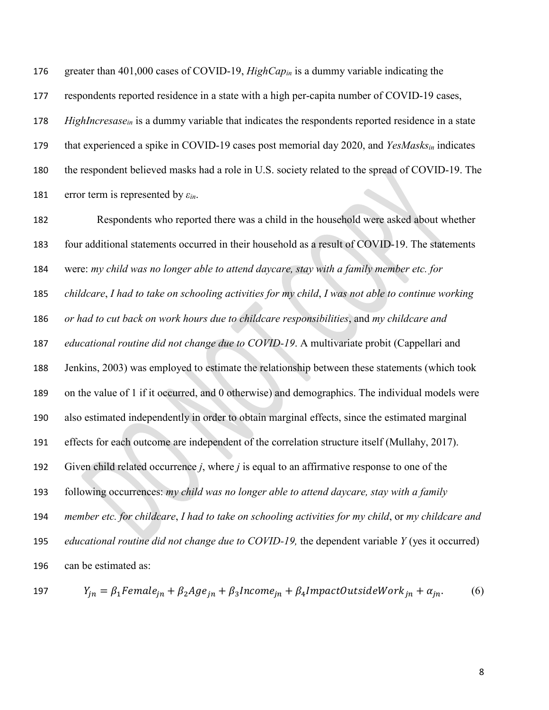greater than 401,000 cases of COVID-19, *HighCapin* is a dummy variable indicating the 177 respondents reported residence in a state with a high per-capita number of COVID-19 cases, *HighIncresase<sub>in</sub>* is a dummy variable that indicates the respondents reported residence in a state that experienced a spike in COVID-19 cases post memorial day 2020, and *YesMasksin* indicates the respondent believed masks had a role in U.S. society related to the spread of COVID-19. The error term is represented by *εin*.

 Respondents who reported there was a child in the household were asked about whether four additional statements occurred in their household as a result of COVID-19. The statements were: *my child was no longer able to attend daycare, stay with a family member etc. for childcare*, *I had to take on schooling activities for my child*, *I was not able to continue working or had to cut back on work hours due to childcare responsibilities*, and *my childcare and educational routine did not change due to COVID-19*. A multivariate probit (Cappellari and Jenkins, 2003) was employed to estimate the relationship between these statements (which took on the value of 1 if it occurred, and 0 otherwise) and demographics. The individual models were also estimated independently in order to obtain marginal effects, since the estimated marginal effects for each outcome are independent of the correlation structure itself (Mullahy, 2017). Given child related occurrence *j*, where *j* is equal to an affirmative response to one of the following occurrences: *my child was no longer able to attend daycare, stay with a family member etc. for childcare*, *I had to take on schooling activities for my child*, or *my childcare and educational routine did not change due to COVID-19,* the dependent variable *Y* (yes it occurred) can be estimated as:

197  $Y_{in} = \beta_1 Female_{in} + \beta_2 Age_{in} + \beta_3 Income_{in} + \beta_4 ImpactOutsideWork_{in} + \alpha_{in}.$  (6)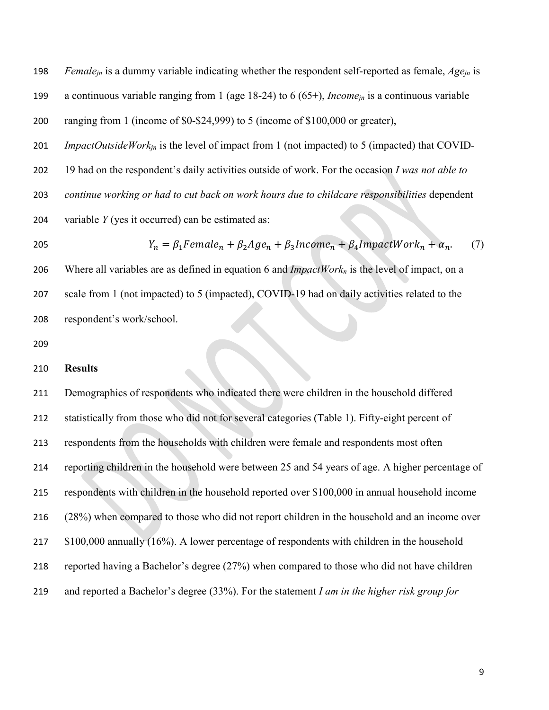*Femalejn* is a dummy variable indicating whether the respondent self-reported as female, *Agejn* is a continuous variable ranging from 1 (age 18-24) to 6 (65+), *Incomejn* is a continuous variable ranging from 1 (income of \$0-\$24,999) to 5 (income of \$100,000 or greater), *ImpactOutsideWorkjn* is the level of impact from 1 (not impacted) to 5 (impacted) that COVID- 19 had on the respondent's daily activities outside of work. For the occasion *I was not able to continue working or had to cut back on work hours due to childcare responsibilities* dependent variable *Y* (yes it occurred) can be estimated as:  $Y_n = \beta_1 Female_n + \beta_2 Age_n + \beta_3 Income_n + \beta_4 ImpatchWR_n + \alpha_n.$  (7) Where all variables are as defined in equation 6 and *ImpactWorkn* is the level of impact, on a scale from 1 (not impacted) to 5 (impacted), COVID-19 had on daily activities related to the

respondent's work/school.

#### **Results**

 Demographics of respondents who indicated there were children in the household differed statistically from those who did not for several categories (Table 1). Fifty-eight percent of respondents from the households with children were female and respondents most often reporting children in the household were between 25 and 54 years of age. A higher percentage of respondents with children in the household reported over \$100,000 in annual household income (28%) when compared to those who did not report children in the household and an income over \$100,000 annually (16%). A lower percentage of respondents with children in the household reported having a Bachelor's degree (27%) when compared to those who did not have children and reported a Bachelor's degree (33%). For the statement *I am in the higher risk group for*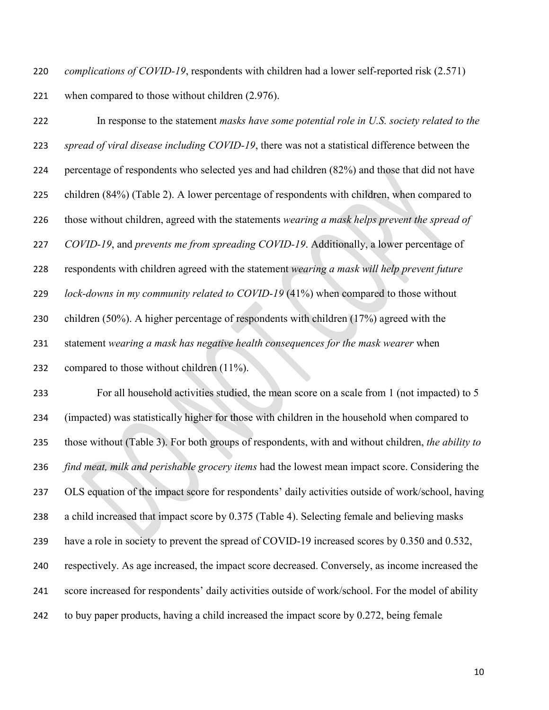*complications of COVID-19*, respondents with children had a lower self-reported risk (2.571) when compared to those without children (2.976).

 In response to the statement *masks have some potential role in U.S. society related to the spread of viral disease including COVID-19*, there was not a statistical difference between the percentage of respondents who selected yes and had children (82%) and those that did not have children (84%) (Table 2). A lower percentage of respondents with children, when compared to those without children, agreed with the statements *wearing a mask helps prevent the spread of COVID-19*, and *prevents me from spreading COVID-19*. Additionally, a lower percentage of respondents with children agreed with the statement *wearing a mask will help prevent future lock-downs in my community related to COVID-19* (41%) when compared to those without children (50%). A higher percentage of respondents with children (17%) agreed with the statement *wearing a mask has negative health consequences for the mask wearer* when compared to those without children (11%).

 For all household activities studied, the mean score on a scale from 1 (not impacted) to 5 (impacted) was statistically higher for those with children in the household when compared to those without (Table 3). For both groups of respondents, with and without children, *the ability to find meat, milk and perishable grocery items* had the lowest mean impact score. Considering the OLS equation of the impact score for respondents' daily activities outside of work/school, having a child increased that impact score by 0.375 (Table 4). Selecting female and believing masks have a role in society to prevent the spread of COVID-19 increased scores by 0.350 and 0.532, respectively. As age increased, the impact score decreased. Conversely, as income increased the score increased for respondents' daily activities outside of work/school. For the model of ability to buy paper products, having a child increased the impact score by 0.272, being female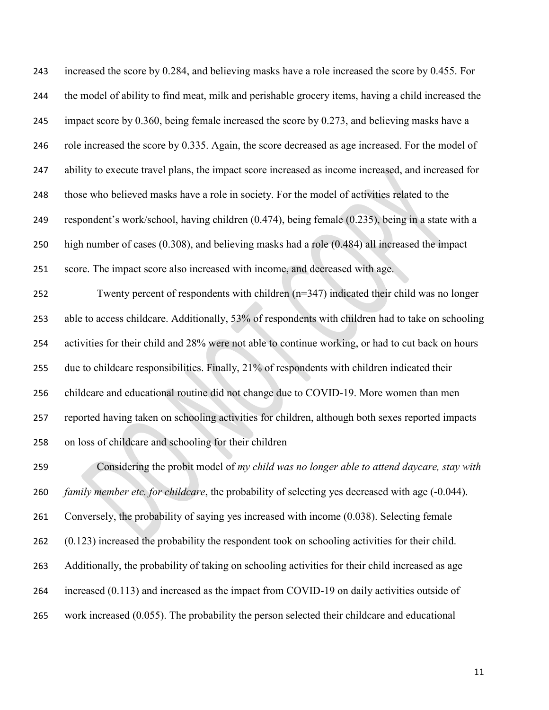| 243 | increased the score by 0.284, and believing masks have a role increased the score by 0.455. For         |
|-----|---------------------------------------------------------------------------------------------------------|
| 244 | the model of ability to find meat, milk and perishable grocery items, having a child increased the      |
| 245 | impact score by $0.360$ , being female increased the score by $0.273$ , and believing masks have a      |
| 246 | role increased the score by 0.335. Again, the score decreased as age increased. For the model of        |
| 247 | ability to execute travel plans, the impact score increased as income increased, and increased for      |
| 248 | those who believed masks have a role in society. For the model of activities related to the             |
| 249 | respondent's work/school, having children (0.474), being female (0.235), being in a state with a        |
| 250 | high number of cases $(0.308)$ , and believing masks had a role $(0.484)$ all increased the impact      |
| 251 | score. The impact score also increased with income, and decreased with age.                             |
| 252 | Twenty percent of respondents with children $(n=347)$ indicated their child was no longer               |
| 253 | able to access childcare. Additionally, 53% of respondents with children had to take on schooling       |
| 254 | activities for their child and 28% were not able to continue working, or had to cut back on hours       |
| 255 | due to childcare responsibilities. Finally, 21% of respondents with children indicated their            |
| 256 | childcare and educational routine did not change due to COVID-19. More women than men                   |
| 257 | reported having taken on schooling activities for children, although both sexes reported impacts        |
| 258 | on loss of childcare and schooling for their children                                                   |
| 259 | Considering the probit model of my child was no longer able to attend daycare, stay with                |
| 260 | <i>family member etc. for childcare</i> , the probability of selecting yes decreased with age (-0.044). |
| 261 | Conversely, the probability of saying yes increased with income (0.038). Selecting female               |
| 262 | $(0.123)$ increased the probability the respondent took on schooling activities for their child.        |
| 263 | Additionally, the probability of taking on schooling activities for their child increased as age        |
| 264 | increased (0.113) and increased as the impact from COVID-19 on daily activities outside of              |
| 265 | work increased (0.055). The probability the person selected their childcare and educational             |
|     |                                                                                                         |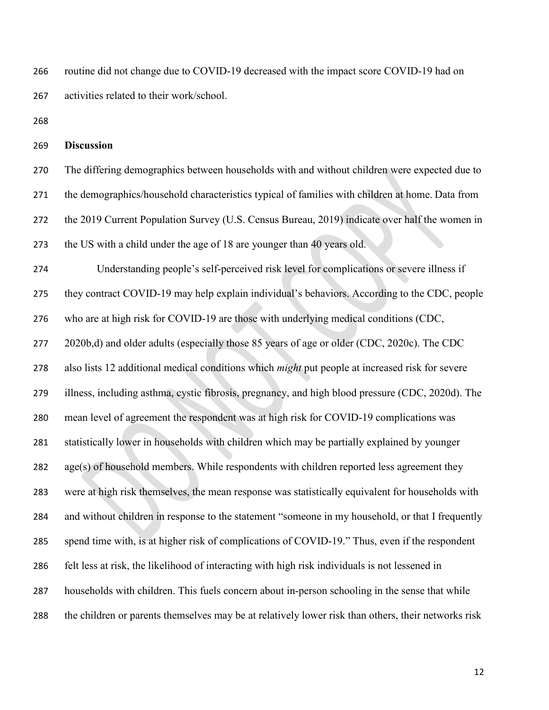routine did not change due to COVID-19 decreased with the impact score COVID-19 had on activities related to their work/school.

## **Discussion**

 The differing demographics between households with and without children were expected due to the demographics/household characteristics typical of families with children at home. Data from the 2019 Current Population Survey (U.S. Census Bureau, 2019) indicate over half the women in the US with a child under the age of 18 are younger than 40 years old.

 Understanding people's self-perceived risk level for complications or severe illness if they contract COVID-19 may help explain individual's behaviors. According to the CDC, people who are at high risk for COVID-19 are those with underlying medical conditions (CDC, 277 2020b,d) and older adults (especially those 85 years of age or older (CDC, 2020c). The CDC also lists 12 additional medical conditions which *might* put people at increased risk for severe illness, including asthma, cystic fibrosis, pregnancy, and high blood pressure (CDC, 2020d). The mean level of agreement the respondent was at high risk for COVID-19 complications was statistically lower in households with children which may be partially explained by younger 282 age(s) of household members. While respondents with children reported less agreement they were at high risk themselves, the mean response was statistically equivalent for households with and without children in response to the statement "someone in my household, or that I frequently spend time with, is at higher risk of complications of COVID-19." Thus, even if the respondent felt less at risk, the likelihood of interacting with high risk individuals is not lessened in households with children. This fuels concern about in-person schooling in the sense that while the children or parents themselves may be at relatively lower risk than others, their networks risk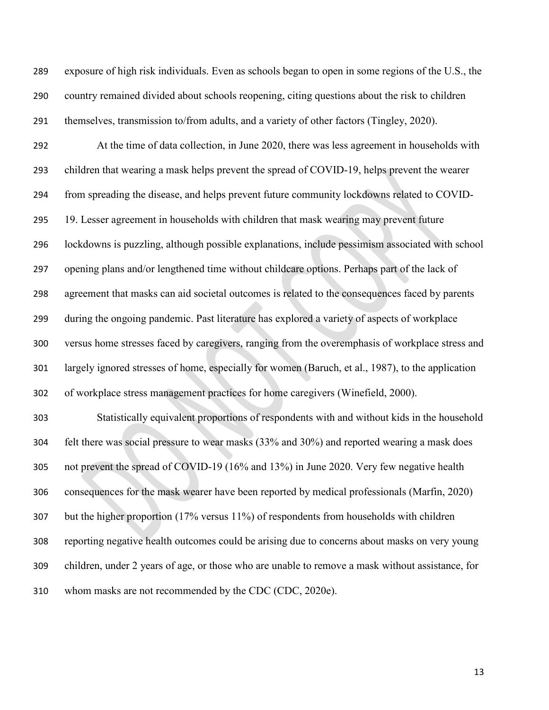exposure of high risk individuals. Even as schools began to open in some regions of the U.S., the country remained divided about schools reopening, citing questions about the risk to children themselves, transmission to/from adults, and a variety of other factors (Tingley, 2020).

 At the time of data collection, in June 2020, there was less agreement in households with children that wearing a mask helps prevent the spread of COVID-19, helps prevent the wearer from spreading the disease, and helps prevent future community lockdowns related to COVID- 19. Lesser agreement in households with children that mask wearing may prevent future lockdowns is puzzling, although possible explanations, include pessimism associated with school opening plans and/or lengthened time without childcare options. Perhaps part of the lack of agreement that masks can aid societal outcomes is related to the consequences faced by parents during the ongoing pandemic. Past literature has explored a variety of aspects of workplace versus home stresses faced by caregivers, ranging from the overemphasis of workplace stress and largely ignored stresses of home, especially for women (Baruch, et al., 1987), to the application of workplace stress management practices for home caregivers (Winefield, 2000). Statistically equivalent proportions of respondents with and without kids in the household felt there was social pressure to wear masks (33% and 30%) and reported wearing a mask does not prevent the spread of COVID-19 (16% and 13%) in June 2020. Very few negative health consequences for the mask wearer have been reported by medical professionals (Marfin, 2020) but the higher proportion (17% versus 11%) of respondents from households with children

 reporting negative health outcomes could be arising due to concerns about masks on very young children, under 2 years of age, or those who are unable to remove a mask without assistance, for

whom masks are not recommended by the CDC (CDC, 2020e).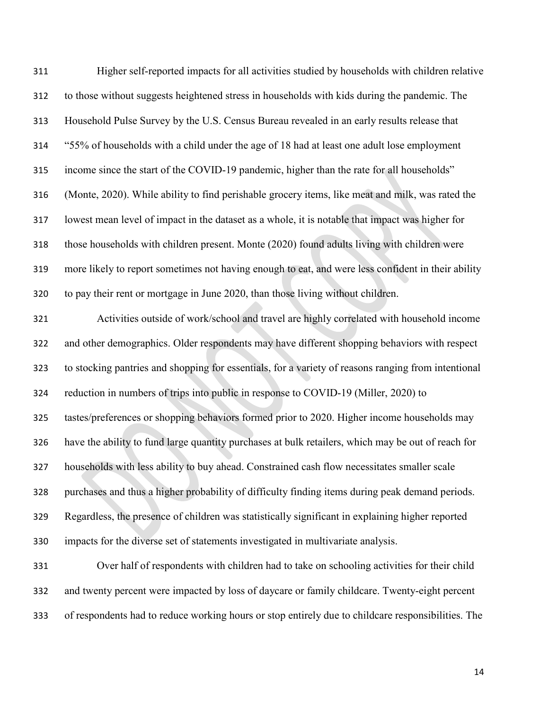| 311 | Higher self-reported impacts for all activities studied by households with children relative        |
|-----|-----------------------------------------------------------------------------------------------------|
| 312 | to those without suggests heightened stress in households with kids during the pandemic. The        |
| 313 | Household Pulse Survey by the U.S. Census Bureau revealed in an early results release that          |
| 314 | "55% of households with a child under the age of 18 had at least one adult lose employment          |
| 315 | income since the start of the COVID-19 pandemic, higher than the rate for all households"           |
| 316 | (Monte, 2020). While ability to find perishable grocery items, like meat and milk, was rated the    |
| 317 | lowest mean level of impact in the dataset as a whole, it is notable that impact was higher for     |
| 318 | those households with children present. Monte (2020) found adults living with children were         |
| 319 | more likely to report sometimes not having enough to eat, and were less confident in their ability  |
| 320 | to pay their rent or mortgage in June 2020, than those living without children.                     |
| 321 | Activities outside of work/school and travel are highly correlated with household income            |
| 322 | and other demographics. Older respondents may have different shopping behaviors with respect        |
| 323 | to stocking pantries and shopping for essentials, for a variety of reasons ranging from intentional |
| 324 | reduction in numbers of trips into public in response to COVID-19 (Miller, 2020) to                 |
| 325 | tastes/preferences or shopping behaviors formed prior to 2020. Higher income households may         |
| 326 | have the ability to fund large quantity purchases at bulk retailers, which may be out of reach for  |
|     | 327 households with less ability to buy ahead. Constrained cash flow necessitates smaller scale     |
| 328 | purchases and thus a higher probability of difficulty finding items during peak demand periods.     |
| 329 | Regardless, the presence of children was statistically significant in explaining higher reported    |
| 330 | impacts for the diverse set of statements investigated in multivariate analysis.                    |
| 331 | Over half of respondents with children had to take on schooling activities for their child          |
| 332 | and twenty percent were impacted by loss of daycare or family childcare. Twenty-eight percent       |
| 333 | of respondents had to reduce working hours or stop entirely due to childcare responsibilities. The  |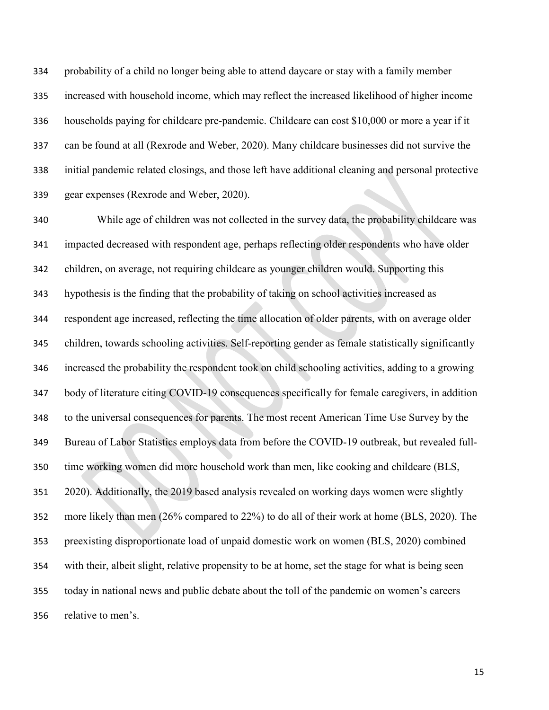probability of a child no longer being able to attend daycare or stay with a family member increased with household income, which may reflect the increased likelihood of higher income households paying for childcare pre-pandemic. Childcare can cost \$10,000 or more a year if it can be found at all (Rexrode and Weber, 2020). Many childcare businesses did not survive the initial pandemic related closings, and those left have additional cleaning and personal protective gear expenses (Rexrode and Weber, 2020).

 While age of children was not collected in the survey data, the probability childcare was impacted decreased with respondent age, perhaps reflecting older respondents who have older children, on average, not requiring childcare as younger children would. Supporting this hypothesis is the finding that the probability of taking on school activities increased as respondent age increased, reflecting the time allocation of older parents, with on average older children, towards schooling activities. Self-reporting gender as female statistically significantly increased the probability the respondent took on child schooling activities, adding to a growing body of literature citing COVID-19 consequences specifically for female caregivers, in addition to the universal consequences for parents. The most recent American Time Use Survey by the Bureau of Labor Statistics employs data from before the COVID-19 outbreak, but revealed full- time working women did more household work than men, like cooking and childcare (BLS, 2020). Additionally, the 2019 based analysis revealed on working days women were slightly more likely than men (26% compared to 22%) to do all of their work at home (BLS, 2020). The preexisting disproportionate load of unpaid domestic work on women (BLS, 2020) combined with their, albeit slight, relative propensity to be at home, set the stage for what is being seen today in national news and public debate about the toll of the pandemic on women's careers relative to men's.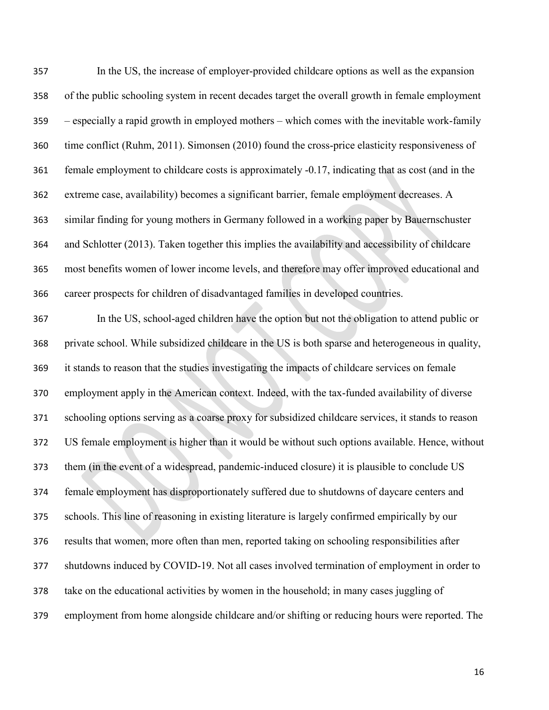In the US, the increase of employer-provided childcare options as well as the expansion of the public schooling system in recent decades target the overall growth in female employment – especially a rapid growth in employed mothers – which comes with the inevitable work-family time conflict (Ruhm, 2011). Simonsen (2010) found the cross-price elasticity responsiveness of female employment to childcare costs is approximately -0.17, indicating that as cost (and in the extreme case, availability) becomes a significant barrier, female employment decreases. A similar finding for young mothers in Germany followed in a working paper by Bauernschuster and Schlotter (2013). Taken together this implies the availability and accessibility of childcare most benefits women of lower income levels, and therefore may offer improved educational and career prospects for children of disadvantaged families in developed countries.

 In the US, school-aged children have the option but not the obligation to attend public or private school. While subsidized childcare in the US is both sparse and heterogeneous in quality, it stands to reason that the studies investigating the impacts of childcare services on female employment apply in the American context. Indeed, with the tax-funded availability of diverse schooling options serving as a coarse proxy for subsidized childcare services, it stands to reason US female employment is higher than it would be without such options available. Hence, without them (in the event of a widespread, pandemic-induced closure) it is plausible to conclude US female employment has disproportionately suffered due to shutdowns of daycare centers and schools. This line of reasoning in existing literature is largely confirmed empirically by our results that women, more often than men, reported taking on schooling responsibilities after shutdowns induced by COVID-19. Not all cases involved termination of employment in order to take on the educational activities by women in the household; in many cases juggling of employment from home alongside childcare and/or shifting or reducing hours were reported. The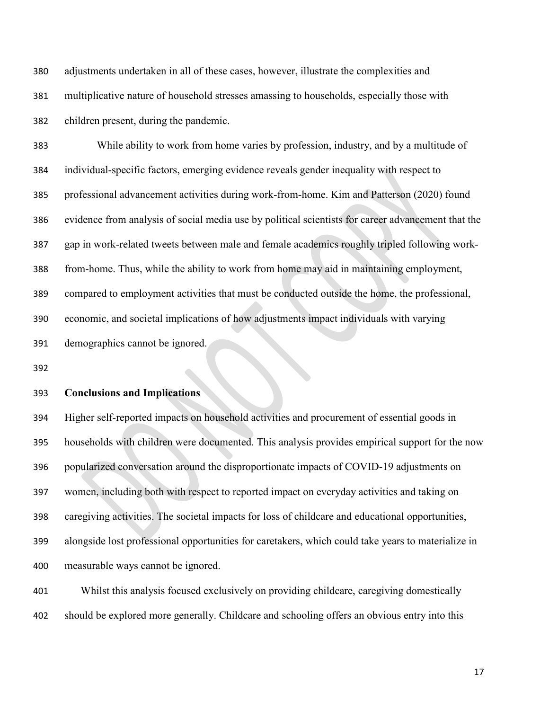adjustments undertaken in all of these cases, however, illustrate the complexities and multiplicative nature of household stresses amassing to households, especially those with children present, during the pandemic.

 While ability to work from home varies by profession, industry, and by a multitude of individual-specific factors, emerging evidence reveals gender inequality with respect to professional advancement activities during work-from-home. Kim and Patterson (2020) found evidence from analysis of social media use by political scientists for career advancement that the gap in work-related tweets between male and female academics roughly tripled following work- from-home. Thus, while the ability to work from home may aid in maintaining employment, compared to employment activities that must be conducted outside the home, the professional, economic, and societal implications of how adjustments impact individuals with varying demographics cannot be ignored.

### **Conclusions and Implications**

 Higher self-reported impacts on household activities and procurement of essential goods in households with children were documented. This analysis provides empirical support for the now popularized conversation around the disproportionate impacts of COVID-19 adjustments on women, including both with respect to reported impact on everyday activities and taking on caregiving activities. The societal impacts for loss of childcare and educational opportunities, alongside lost professional opportunities for caretakers, which could take years to materialize in measurable ways cannot be ignored.

 Whilst this analysis focused exclusively on providing childcare, caregiving domestically should be explored more generally. Childcare and schooling offers an obvious entry into this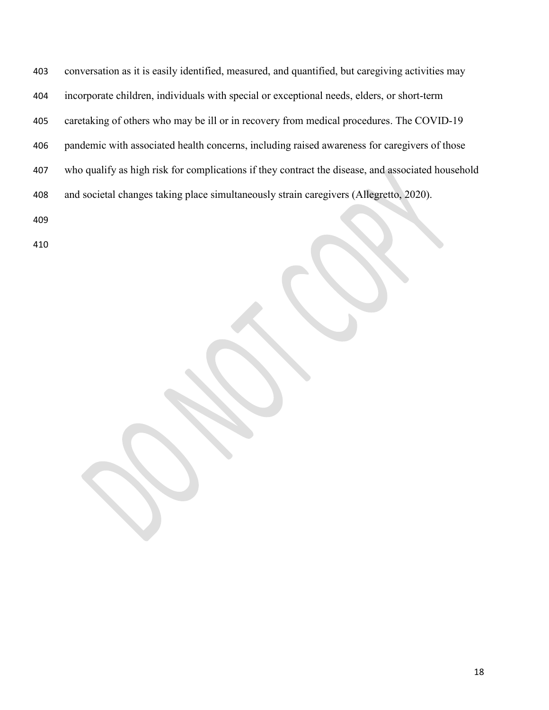conversation as it is easily identified, measured, and quantified, but caregiving activities may incorporate children, individuals with special or exceptional needs, elders, or short-term caretaking of others who may be ill or in recovery from medical procedures. The COVID-19 pandemic with associated health concerns, including raised awareness for caregivers of those who qualify as high risk for complications if they contract the disease, and associated household and societal changes taking place simultaneously strain caregivers (Allegretto, 2020).

- 
-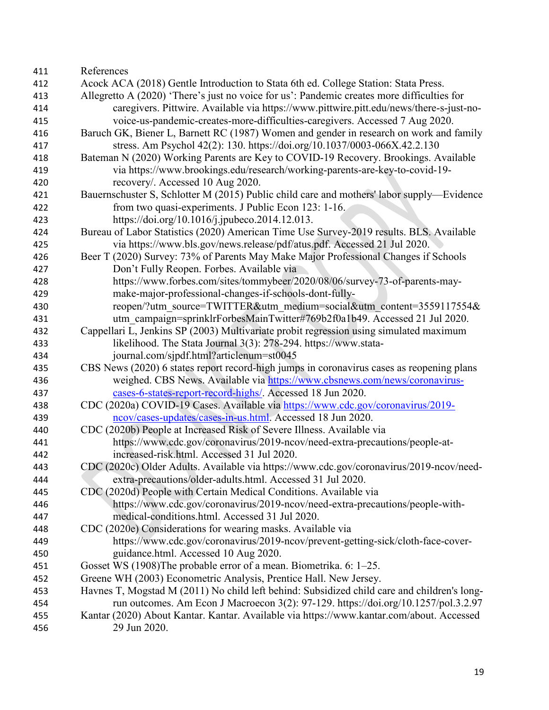References Acock ACA (2018) Gentle Introduction to Stata 6th ed. College Station: Stata Press. Allegretto A (2020) 'There's just no voice for us': Pandemic creates more difficulties for caregivers. Pittwire. Available via https://www.pittwire.pitt.edu/news/there-s-just-no- voice-us-pandemic-creates-more-difficulties-caregivers. Accessed 7 Aug 2020. Baruch GK, Biener L, Barnett RC (1987) Women and gender in research on work and family stress. Am Psychol 42(2): 130.<https://doi.org/10.1037/0003-066X.42.2.130> Bateman N (2020) Working Parents are Key to COVID-19 Recovery. Brookings. Available via https://www.brookings.edu/research/working-parents-are-key-to-covid-19- recovery/. Accessed 10 Aug 2020. Bauernschuster S, Schlotter M (2015) Public child care and mothers' labor supply—Evidence from two quasi-experiments. J Public Econ 123: 1-16. https://doi.org/10.1016/j.jpubeco.2014.12.013. Bureau of Labor Statistics (2020) American Time Use Survey-2019 results. BLS. Available via https://www.bls.gov/news.release/pdf/atus.pdf. Accessed 21 Jul 2020. Beer T (2020) Survey: 73% of Parents May Make Major Professional Changes if Schools Don't Fully Reopen. Forbes. Available via https://www.forbes.com/sites/tommybeer/2020/08/06/survey-73-of-parents-may- make-major-professional-changes-if-schools-dont-fully-430 reopen/?utm\_source=TWITTER&utm\_medium=social&utm\_content=3559117554& utm\_campaign=sprinklrForbesMainTwitter#769b2f0a1b49. Accessed 21 Jul 2020. Cappellari L, Jenkins SP (2003) Multivariate probit regression using simulated maximum likelihood. The Stata Journal 3(3): 278-294. https://www.stata- journal.com/sjpdf.html?articlenum=st0045 CBS News (2020) 6 states report record-high jumps in coronavirus cases as reopening plans weighed. CBS News. Available via [https://www.cbsnews.com/news/coronavirus-](https://www.cbsnews.com/news/coronavirus-cases-6-states-report-record-highs/) [cases-6-states-report-record-highs/.](https://www.cbsnews.com/news/coronavirus-cases-6-states-report-record-highs/) Accessed 18 Jun 2020. CDC (2020a) COVID-19 Cases. Available via [https://www.cdc.gov/coronavirus/2019-](https://www.cdc.gov/coronavirus/2019-ncov/cases-updates/cases-in-us.html) [ncov/cases-updates/cases-in-us.html.](https://www.cdc.gov/coronavirus/2019-ncov/cases-updates/cases-in-us.html) Accessed 18 Jun 2020. CDC (2020b) People at Increased Risk of Severe Illness. Available via https://www.cdc.gov/coronavirus/2019-ncov/need-extra-precautions/people-at- increased-risk.html. Accessed 31 Jul 2020. CDC (2020c) Older Adults. Available via https://www.cdc.gov/coronavirus/2019-ncov/need- extra-precautions/older-adults.html. Accessed 31 Jul 2020. CDC (2020d) People with Certain Medical Conditions. Available via https://www.cdc.gov/coronavirus/2019-ncov/need-extra-precautions/people-with- medical-conditions.html. Accessed 31 Jul 2020. CDC (2020e) Considerations for wearing masks. Available via https://www.cdc.gov/coronavirus/2019-ncov/prevent-getting-sick/cloth-face-cover- guidance.html. Accessed 10 Aug 2020. Gosset WS (1908)The probable error of a mean. Biometrika. 6: 1–25. Greene WH (2003) Econometric Analysis, Prentice Hall. New Jersey. Havnes T, Mogstad M (2011) No child left behind: Subsidized child care and children's long- run outcomes. Am Econ J Macroecon 3(2): 97-129. https://doi.org/10.1257/pol.3.2.97 Kantar (2020) About Kantar. Kantar. Available via [https://www.kantar.com/about.](https://www.kantar.com/about) Accessed 29 Jun 2020.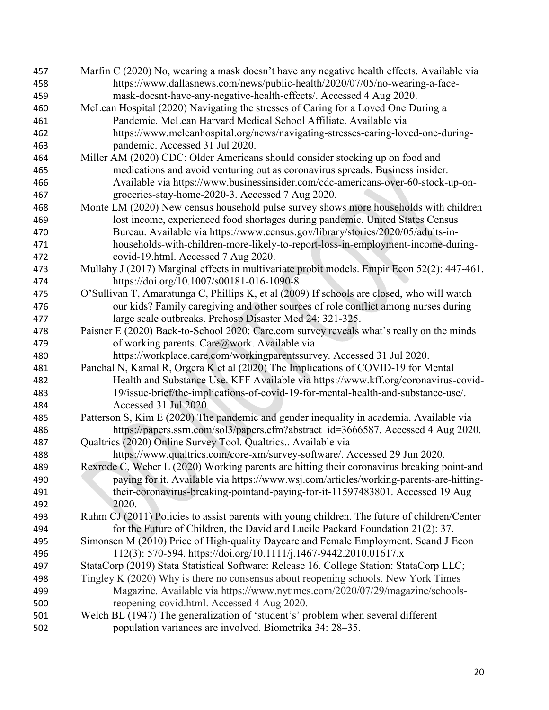| 457 | Marfin C (2020) No, wearing a mask doesn't have any negative health effects. Available via   |
|-----|----------------------------------------------------------------------------------------------|
| 458 | https://www.dallasnews.com/news/public-health/2020/07/05/no-wearing-a-face-                  |
| 459 | mask-doesnt-have-any-negative-health-effects/. Accessed 4 Aug 2020.                          |
| 460 | McLean Hospital (2020) Navigating the stresses of Caring for a Loved One During a            |
| 461 | Pandemic. McLean Harvard Medical School Affiliate. Available via                             |
| 462 | https://www.mcleanhospital.org/news/navigating-stresses-caring-loved-one-during-             |
| 463 | pandemic. Accessed 31 Jul 2020.                                                              |
| 464 | Miller AM (2020) CDC: Older Americans should consider stocking up on food and                |
| 465 | medications and avoid venturing out as coronavirus spreads. Business insider.                |
| 466 | Available via https://www.businessinsider.com/cdc-americans-over-60-stock-up-on-             |
| 467 | groceries-stay-home-2020-3. Accessed 7 Aug 2020.                                             |
| 468 | Monte LM (2020) New census household pulse survey shows more households with children        |
| 469 | lost income, experienced food shortages during pandemic. United States Census                |
| 470 | Bureau. Available via https://www.census.gov/library/stories/2020/05/adults-in-              |
| 471 | households-with-children-more-likely-to-report-loss-in-employment-income-during-             |
| 472 | covid-19.html. Accessed 7 Aug 2020.                                                          |
| 473 | Mullahy J (2017) Marginal effects in multivariate probit models. Empir Econ 52(2): 447-461.  |
| 474 | https://doi.org/10.1007/s00181-016-1090-8                                                    |
| 475 | O'Sullivan T, Amaratunga C, Phillips K, et al (2009) If schools are closed, who will watch   |
| 476 | our kids? Family caregiving and other sources of role conflict among nurses during           |
| 477 | large scale outbreaks. Prehosp Disaster Med 24: 321-325.                                     |
| 478 | Paisner E (2020) Back-to-School 2020: Care.com survey reveals what's really on the minds     |
| 479 | of working parents. Care@work. Available via                                                 |
| 480 | https://workplace.care.com/workingparentssurvey. Accessed 31 Jul 2020.                       |
| 481 | Panchal N, Kamal R, Orgera K et al (2020) The Implications of COVID-19 for Mental            |
| 482 | Health and Substance Use. KFF Available via https://www.kff.org/coronavirus-covid-           |
| 483 | 19/issue-brief/the-implications-of-covid-19-for-mental-health-and-substance-use/.            |
| 484 | Accessed 31 Jul 2020.                                                                        |
| 485 | Patterson S, Kim E (2020) The pandemic and gender inequality in academia. Available via      |
| 486 | https://papers.ssrn.com/sol3/papers.cfm?abstract_id=3666587. Accessed 4 Aug 2020.            |
| 487 | Qualtrics (2020) Online Survey Tool. Qualtrics Available via                                 |
| 488 | https://www.qualtrics.com/core-xm/survey-software/. Accessed 29 Jun 2020.                    |
| 489 | Rexrode C, Weber L (2020) Working parents are hitting their coronavirus breaking point-and   |
| 490 | paying for it. Available via https://www.wsj.com/articles/working-parents-are-hitting-       |
| 491 | their-coronavirus-breaking-pointand-paying-for-it-11597483801. Accessed 19 Aug               |
| 492 | 2020.                                                                                        |
| 493 | Ruhm CJ (2011) Policies to assist parents with young children. The future of children/Center |
| 494 | for the Future of Children, the David and Lucile Packard Foundation 21(2): 37.               |
| 495 | Simonsen M (2010) Price of High-quality Daycare and Female Employment. Scand J Econ          |
| 496 | 112(3): 570-594. https://doi.org/10.1111/j.1467-9442.2010.01617.x                            |
| 497 | StataCorp (2019) Stata Statistical Software: Release 16. College Station: StataCorp LLC;     |
|     |                                                                                              |
| 498 | Tingley K (2020) Why is there no consensus about reopening schools. New York Times           |
| 499 | Magazine. Available via https://www.nytimes.com/2020/07/29/magazine/schools-                 |
| 500 | reopening-covid.html. Accessed 4 Aug 2020.                                                   |
| 501 | Welch BL (1947) The generalization of 'student's' problem when several different             |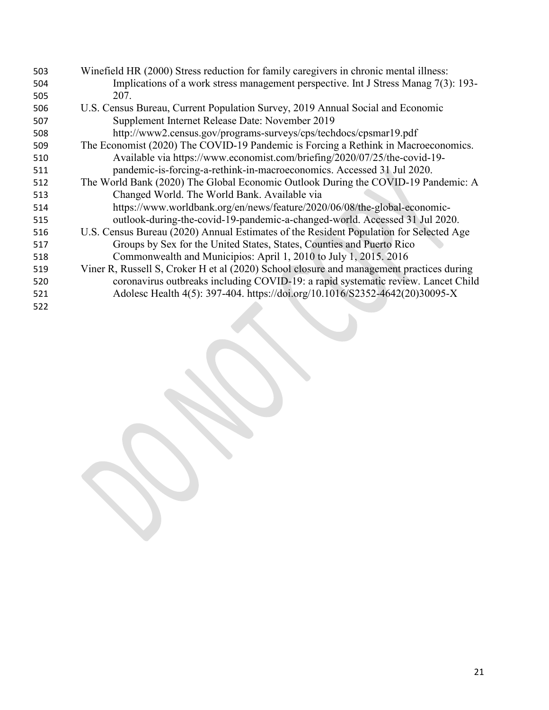| 503 | Winefield HR (2000) Stress reduction for family caregivers in chronic mental illness:    |
|-----|------------------------------------------------------------------------------------------|
| 504 | Implications of a work stress management perspective. Int J Stress Manag 7(3): 193-      |
| 505 | 207.                                                                                     |
| 506 | U.S. Census Bureau, Current Population Survey, 2019 Annual Social and Economic           |
| 507 | Supplement Internet Release Date: November 2019                                          |
| 508 | http://www2.census.gov/programs-surveys/cps/techdocs/cpsmar19.pdf                        |
| 509 | The Economist (2020) The COVID-19 Pandemic is Forcing a Rethink in Macroeconomics.       |
| 510 | Available via https://www.economist.com/briefing/2020/07/25/the-covid-19-                |
| 511 | pandemic-is-forcing-a-rethink-in-macroeconomics. Accessed 31 Jul 2020.                   |
| 512 | The World Bank (2020) The Global Economic Outlook During the COVID-19 Pandemic: A        |
| 513 | Changed World. The World Bank. Available via                                             |
| 514 | https://www.worldbank.org/en/news/feature/2020/06/08/the-global-economic-                |
| 515 | outlook-during-the-covid-19-pandemic-a-changed-world. Accessed 31 Jul 2020.              |
| 516 | U.S. Census Bureau (2020) Annual Estimates of the Resident Population for Selected Age   |
| 517 | Groups by Sex for the United States, States, Counties and Puerto Rico                    |
| 518 | Commonwealth and Municipios: April 1, 2010 to July 1, 2015. 2016                         |
| 519 | Viner R, Russell S, Croker H et al (2020) School closure and management practices during |
| 520 | coronavirus outbreaks including COVID-19: a rapid systematic review. Lancet Child        |
| 521 | Adolesc Health 4(5): 397-404. https://doi.org/10.1016/S2352-4642(20)30095-X              |
| 522 |                                                                                          |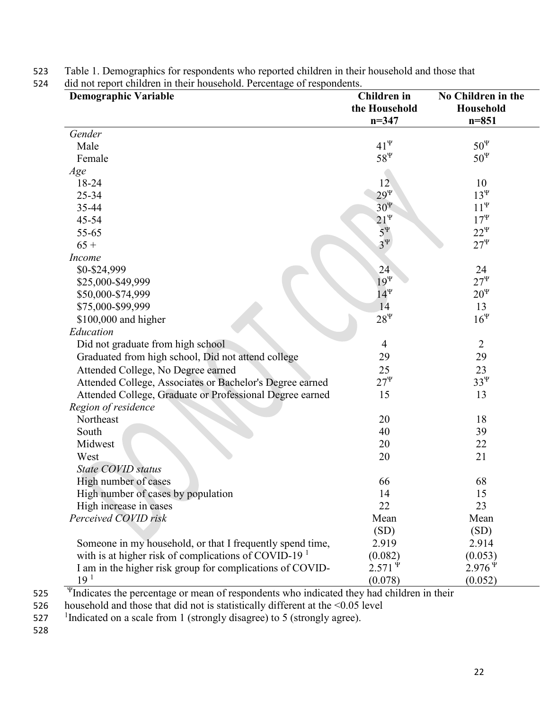| <b>Demographic Variable</b>                                      | <b>Children</b> in<br>the Household | No Children in the<br>Household |
|------------------------------------------------------------------|-------------------------------------|---------------------------------|
|                                                                  | $n = 347$                           | $n = 851$                       |
| Gender                                                           |                                     |                                 |
| Male                                                             | $41^{\Psi}$                         | $50^{\Psi}$                     |
| Female                                                           | $58^{\Psi}$                         | $50^{\Psi}$                     |
| Age                                                              |                                     |                                 |
| 18-24                                                            | 12 <sup>°</sup>                     | 10                              |
| 25-34                                                            | $29^{\Psi}$                         | $13^{\Psi}$                     |
| 35-44                                                            | $30^{\Psi}$                         | $11^{\Psi}$                     |
| 45-54                                                            | $21^{\Psi}$                         | $17^{\Psi}$                     |
| 55-65                                                            | $5^{\Psi}$                          | $22^{\Psi}$                     |
| $65+$                                                            | $3^{\Psi}$                          | $27^{\Psi}$                     |
| Income                                                           |                                     |                                 |
| \$0-\$24,999                                                     | 24                                  | 24                              |
| \$25,000-\$49,999                                                | $19^{\Psi}$                         | $27^{\Psi}$                     |
| \$50,000-\$74,999                                                | $14^{\Psi}$                         | $20^{\Psi}$                     |
| \$75,000-\$99,999                                                | 14                                  | 13                              |
| $$100,000$ and higher                                            | $28^{\Psi}$                         | $16^{\Psi}$                     |
| Education                                                        |                                     |                                 |
| Did not graduate from high school                                | $\overline{4}$                      | $\overline{2}$                  |
| Graduated from high school, Did not attend college               | 29                                  | 29                              |
| Attended College, No Degree earned                               | 25                                  | 23                              |
| Attended College, Associates or Bachelor's Degree earned         | $27^{\Psi}$                         | $33^{\Psi}$                     |
| Attended College, Graduate or Professional Degree earned         | 15                                  | 13                              |
| Region of residence                                              |                                     |                                 |
| Northeast                                                        | 20                                  | 18                              |
| South                                                            | 40                                  | 39                              |
| Midwest                                                          | 20                                  | 22                              |
| West                                                             | 20                                  | 21                              |
| State COVID status                                               |                                     |                                 |
| High number of cases                                             | 66                                  | 68                              |
| High number of cases by population                               | 14                                  | 15                              |
| High increase in cases                                           | 22                                  | 23                              |
| Perceived COVID risk                                             | Mean                                | Mean                            |
|                                                                  | (SD)                                | (SD)                            |
| Someone in my household, or that I frequently spend time,        | 2.919                               | 2.914                           |
| with is at higher risk of complications of COVID-19 <sup>1</sup> | (0.082)                             | (0.053)                         |
| I am in the higher risk group for complications of COVID-        | $2.571^{\Psi}$                      | $2.976^{\,\Psi}$                |
| 19 <sup>1</sup>                                                  | (0.078)                             | (0.052)                         |

523 Table 1. Demographics for respondents who reported children in their household and those that

524 did not report children in their household. Percentage of respondents.

 $\frac{4}{10}$  Indicates the percentage or mean of respondents who indicated they had children in their

526 household and those that did not is statistically different at the <0.05 level

527 Indicated on a scale from 1 (strongly disagree) to 5 (strongly agree).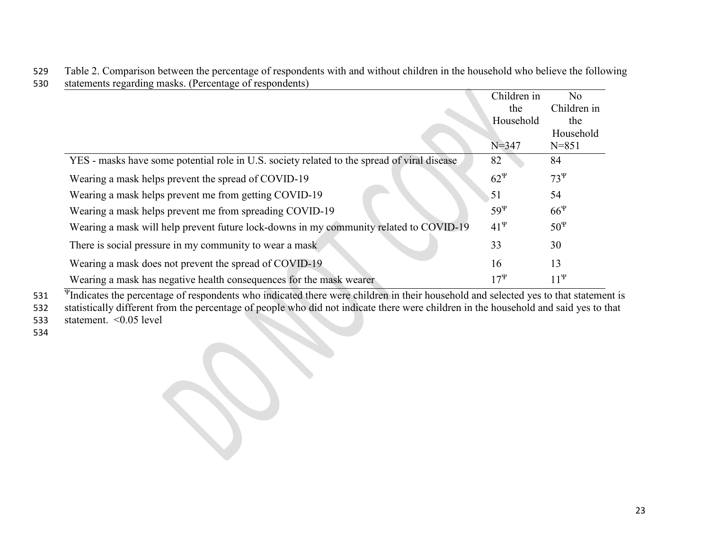|                                                                                             | Children in<br>the<br>Household | No<br>Children in<br>the |
|---------------------------------------------------------------------------------------------|---------------------------------|--------------------------|
|                                                                                             | $N = 347$                       | Household<br>$N = 851$   |
| YES - masks have some potential role in U.S. society related to the spread of viral disease | 82                              | 84                       |
| Wearing a mask helps prevent the spread of COVID-19                                         | $62^{\Psi}$                     | $73^{\Psi}$              |
| Wearing a mask helps prevent me from getting COVID-19                                       | 51                              | 54                       |
| Wearing a mask helps prevent me from spreading COVID-19                                     | $59^{\Psi}$                     | $66^{\Psi}$              |
| Wearing a mask will help prevent future lock-downs in my community related to COVID-19      | $41^{\Psi}$                     | $50^{\Psi}$              |
| There is social pressure in my community to wear a mask                                     | 33                              | 30                       |
| Wearing a mask does not prevent the spread of COVID-19                                      | 16                              | 13                       |
| Wearing a mask has negative health consequences for the mask wearer                         | $17^{\Psi}$                     | $11^{\Psi}$              |

529 Table 2. Comparison between the percentage of respondents with and without children in the household who believe the following 530 statements regarding masks. (Percentage of respondents)

 $\overline{\Psi}$  Indicates the percentage of respondents who indicated there were children in their household and selected yes to that statement is 532 statistically different from the percentage of people who did not indicate there were children in the household and said yes to that 533 statement. <0.05 level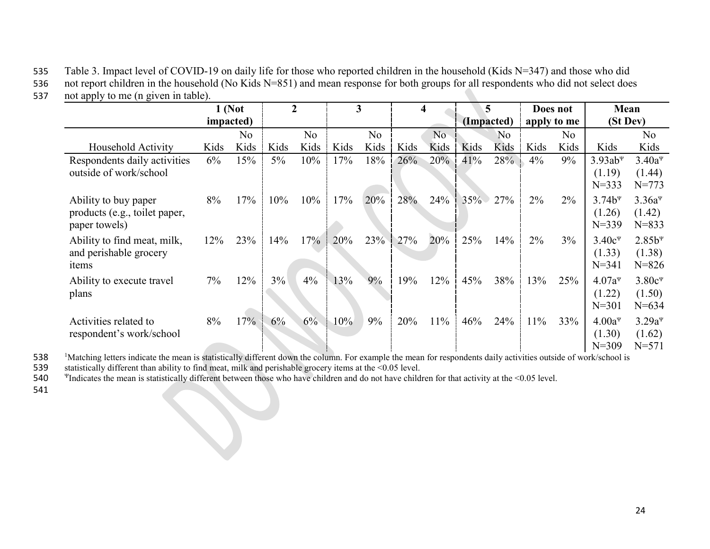535 Table 3. Impact level of COVID-19 on daily life for those who reported children in the household (Kids N=347) and those who did 536 not report children in the household (No Kids N=851) and mean response for both groups for all respondents who did not select does 537 not apply to me (n given in table).

|                                                                        |      | $1$ (Not<br><i>impacted</i> ) |       | $\overline{2}$ |      | 3              |      | 4    |      | 5<br>(Impacted) |      | Does not<br>apply to me | Mean<br>(St Dev)                                             |                                                             |
|------------------------------------------------------------------------|------|-------------------------------|-------|----------------|------|----------------|------|------|------|-----------------|------|-------------------------|--------------------------------------------------------------|-------------------------------------------------------------|
|                                                                        |      | No                            |       | N <sub>o</sub> |      | N <sub>o</sub> |      | No   |      | No              |      | No                      |                                                              | No                                                          |
| Household Activity                                                     | Kids | Kids                          | Kids  | Kids           | Kids | Kids           | Kids | Kids | Kids | Kids            | Kids | Kids                    | Kids                                                         | Kids                                                        |
| Respondents daily activities<br>outside of work/school                 | 6%   | 15%                           | $5\%$ | 10%            | 17%  | 18%            | 26%  | 20%  | 41%  | 28%             | 4%   | 9%                      | $3.93ab$ <sup><math>\Psi</math></sup><br>(1.19)<br>$N = 333$ | $3.40a^{\Psi}$<br>(1.44)<br>$N = 773$                       |
| Ability to buy paper<br>products (e.g., toilet paper,<br>paper towels) | 8%   | 17%                           | 10%   | 10%            | 17%  | 20%            | 28%  | 24%  | 35%  | 27%             | 2%   | $2\%$                   | $3.74b^{4}$<br>(1.26)<br>$N = 339$                           | $3.36a^{\Psi}$<br>(1.42)<br>$N = 833$                       |
| Ability to find meat, milk,<br>and perishable grocery<br>items         | 12%  | 23%                           | 14%   | 17%            | 20%  | 23%            | 27%  | 20%  | 25%  | 14%             | 2%   | $3\%$                   | $3.40c^{\Psi}$<br>(1.33)<br>$N = 341$                        | $2.85b$ <sup><math>\Psi</math></sup><br>(1.38)<br>$N = 826$ |
| Ability to execute travel<br>plans                                     | 7%   | 12%                           | 3%    | 4%             | 13%  | 9%             | 19%  | 12%  | 45%  | 38%             | 13%  | 25%                     | $4.07a^{4}$<br>(1.22)<br>$N = 301$                           | $3.80c^{\Psi}$<br>(1.50)<br>$N = 634$                       |
| Activities related to<br>respondent's work/school                      | 8%   | 17%                           | 6%    | 6%             | 10%  | 9%             | 20%  | 11%  | 46%  | 24%             | 11%  | 33%                     | $4.00a^{\Psi}$<br>(1.30)<br>$N = 309$                        | $3.29a^{\Psi}$<br>(1.62)<br>$N = 571$                       |

538<br>539 <sup>1</sup>Matching letters indicate the mean is statistically different down the column. For example the mean for respondents daily activities outside of work/school is

539 statistically different than ability to find meat, milk and perishable grocery items at the <0.05 level.<br>540 Thdicates the mean is statistically different between those who have children and do not have child:

<sup>Ψ</sup> 540 Indicates the mean is statistically different between those who have children and do not have children for that activity at the <0.05 level.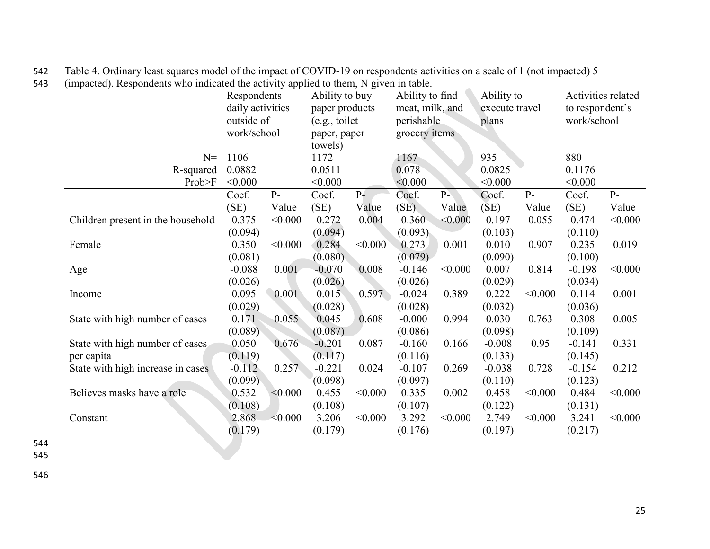|                                   | - 11<br>Respondents<br>daily activities<br>outside of<br>work/school |         | Ability to buy<br>paper products<br>(e.g., toilet<br>paper, paper<br>towels) |         | Ability to find<br>meat, milk, and<br>perishable<br>grocery items |                | Ability to<br>execute travel<br>plans |         | Activities related<br>to respondent's<br>work/school |         |
|-----------------------------------|----------------------------------------------------------------------|---------|------------------------------------------------------------------------------|---------|-------------------------------------------------------------------|----------------|---------------------------------------|---------|------------------------------------------------------|---------|
| $N =$                             | 1106                                                                 |         | 1172                                                                         |         | 1167                                                              |                | 935                                   |         | 880                                                  |         |
| R-squared                         | 0.0882                                                               |         | 0.0511                                                                       |         | 0.078                                                             |                | 0.0825                                |         | 0.1176                                               |         |
| Prob>F                            | < 0.000                                                              |         | < 0.000                                                                      |         | < 0.000                                                           |                | < 0.000                               |         | < 0.000                                              |         |
|                                   | Coef.                                                                | $P-$    | Coef.                                                                        | $P-$    | Coef.                                                             | P <sub>2</sub> | Coef.                                 | $P-$    | Coef.                                                | $P-$    |
|                                   | (SE)                                                                 | Value   | (SE)                                                                         | Value   | (SE)                                                              | Value          | (SE)                                  | Value   | (SE)                                                 | Value   |
| Children present in the household | 0.375                                                                | < 0.000 | 0.272                                                                        | 0.004   | 0.360                                                             | < 0.000        | 0.197                                 | 0.055   | 0.474                                                | < 0.000 |
|                                   | (0.094)                                                              |         | (0.094)                                                                      |         | (0.093)                                                           |                | (0.103)                               |         | (0.110)                                              |         |
| Female                            | 0.350                                                                | < 0.000 | 0.284                                                                        | < 0.000 | 0.273                                                             | 0.001          | 0.010                                 | 0.907   | 0.235                                                | 0.019   |
|                                   | (0.081)                                                              |         | (0.080)                                                                      |         | (0.079)                                                           |                | (0.090)                               |         | (0.100)                                              |         |
| Age                               | $-0.088$                                                             | 0.001   | $-0.070$                                                                     | 0.008   | $-0.146$                                                          | < 0.000        | 0.007                                 | 0.814   | $-0.198$                                             | < 0.000 |
|                                   | (0.026)                                                              |         | (0.026)                                                                      |         | (0.026)                                                           |                | (0.029)                               |         | (0.034)                                              |         |
| Income                            | 0.095                                                                | 0.001   | 0.015                                                                        | 0.597   | $-0.024$                                                          | 0.389          | 0.222                                 | < 0.000 | 0.114                                                | 0.001   |
|                                   | (0.029)                                                              |         | (0.028)                                                                      |         | (0.028)                                                           |                | (0.032)                               |         | (0.036)                                              |         |
| State with high number of cases   | 0.171                                                                | 0.055   | 0.045                                                                        | 0.608   | $-0.000$                                                          | 0.994          | 0.030                                 | 0.763   | 0.308                                                | 0.005   |
|                                   | (0.089)                                                              |         | (0.087)                                                                      |         | (0.086)                                                           |                | (0.098)                               |         | (0.109)                                              |         |
| State with high number of cases   | 0.050                                                                | 0.676   | $-0.201$                                                                     | 0.087   | $-0.160$                                                          | 0.166          | $-0.008$                              | 0.95    | $-0.141$                                             | 0.331   |
| per capita                        | (0.119)                                                              |         | (0.117)                                                                      |         | (0.116)                                                           |                | (0.133)                               |         | (0.145)                                              |         |
| State with high increase in cases | $-0.112$                                                             | 0.257   | $-0.221$                                                                     | 0.024   | $-0.107$                                                          | 0.269          | $-0.038$                              | 0.728   | $-0.154$                                             | 0.212   |
|                                   | (0.099)                                                              |         | (0.098)                                                                      |         | (0.097)                                                           |                | (0.110)                               |         | (0.123)                                              |         |
| Believes masks have a role        | 0.532                                                                | < 0.000 | 0.455                                                                        | < 0.000 | 0.335                                                             | 0.002          | 0.458                                 | < 0.000 | 0.484                                                | < 0.000 |
|                                   | (0.108)                                                              |         | (0.108)                                                                      |         | (0.107)                                                           |                | (0.122)                               |         | (0.131)                                              |         |
| Constant                          | 2.868                                                                | < 0.000 | 3.206                                                                        | < 0.000 | 3.292                                                             | < 0.000        | 2.749                                 | < 0.000 | 3.241                                                | < 0.000 |
|                                   | (0.179)                                                              |         | (0.179)                                                                      |         | (0.176)                                                           |                | (0.197)                               |         | (0.217)                                              |         |

542 Table 4. Ordinary least squares model of the impact of COVID-19 on respondents activities on a scale of 1 (not impacted) 5 543 (impacted). Respondents who indicated the activity applied to them, N given in table.

544 545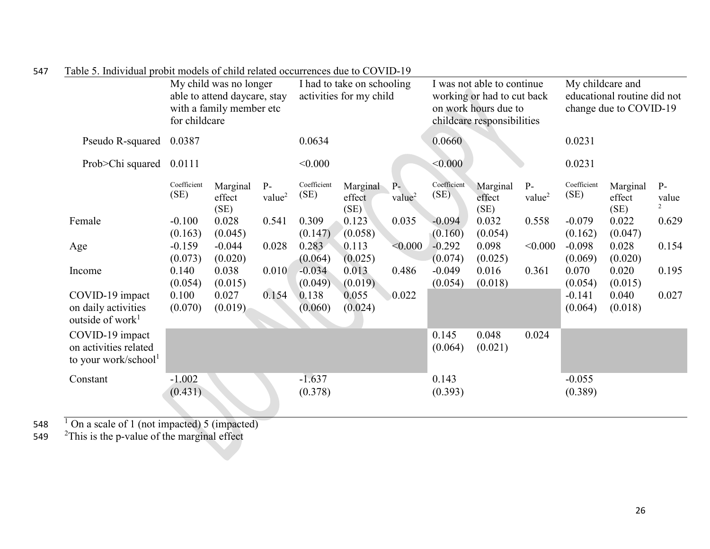|                                                                              | My child was no longer<br>able to attend daycare, stay<br>with a family member etc<br>for childcare |                            | I had to take on schooling<br>activities for my child |                     |                            | I was not able to continue<br>working or had to cut back<br>on work hours due to<br>childcare responsibilities |                     |                            | My childcare and<br>educational routine did not<br>change due to COVID-19 |                     |                            |                                 |
|------------------------------------------------------------------------------|-----------------------------------------------------------------------------------------------------|----------------------------|-------------------------------------------------------|---------------------|----------------------------|----------------------------------------------------------------------------------------------------------------|---------------------|----------------------------|---------------------------------------------------------------------------|---------------------|----------------------------|---------------------------------|
| Pseudo R-squared                                                             | 0.0387                                                                                              |                            |                                                       | 0.0634              |                            |                                                                                                                | 0.0660              |                            |                                                                           | 0.0231              |                            |                                 |
| Prob>Chi squared 0.0111                                                      |                                                                                                     |                            |                                                       | < 0.000             |                            |                                                                                                                | < 0.000             |                            |                                                                           | 0.0231              |                            |                                 |
|                                                                              | Coefficient<br>(SE)                                                                                 | Marginal<br>effect<br>(SE) | $P-$<br>value <sup>2</sup>                            | Coefficient<br>(SE) | Marginal<br>effect<br>(SE) | $\overline{P}$<br>value <sup>2</sup>                                                                           | Coefficient<br>(SE) | Marginal<br>effect<br>(SE) | $P-$<br>value <sup>2</sup>                                                | Coefficient<br>(SE) | Marginal<br>effect<br>(SE) | $P-$<br>value<br>$\overline{2}$ |
| Female                                                                       | $-0.100$<br>(0.163)                                                                                 | 0.028<br>(0.045)           | 0.541                                                 | 0.309<br>(0.147)    | 0.123<br>(0.058)           | 0.035                                                                                                          | $-0.094$<br>(0.160) | 0.032<br>(0.054)           | 0.558                                                                     | $-0.079$<br>(0.162) | 0.022<br>(0.047)           | 0.629                           |
| Age                                                                          | $-0.159$<br>(0.073)                                                                                 | $-0.044$<br>(0.020)        | 0.028                                                 | 0.283<br>(0.064)    | 0.113<br>(0.025)           | < 0.000                                                                                                        | $-0.292$<br>(0.074) | 0.098<br>(0.025)           | < 0.000                                                                   | $-0.098$<br>(0.069) | 0.028<br>(0.020)           | 0.154                           |
| Income                                                                       | 0.140<br>(0.054)                                                                                    | 0.038<br>(0.015)           | 0.010                                                 | $-0.034$<br>(0.049) | 0.013<br>(0.019)           | 0.486                                                                                                          | $-0.049$<br>(0.054) | 0.016<br>(0.018)           | 0.361                                                                     | 0.070<br>(0.054)    | 0.020<br>(0.015)           | 0.195                           |
| COVID-19 impact<br>on daily activities<br>outside of work <sup>1</sup>       | 0.100<br>(0.070)                                                                                    | 0.027<br>(0.019)           | 0.154                                                 | 0.138<br>(0.060)    | 0.055<br>(0.024)           | 0.022                                                                                                          |                     |                            |                                                                           | $-0.141$<br>(0.064) | 0.040<br>(0.018)           | 0.027                           |
| COVID-19 impact<br>on activities related<br>to your work/school <sup>1</sup> |                                                                                                     |                            |                                                       |                     |                            |                                                                                                                | 0.145<br>(0.064)    | 0.048<br>(0.021)           | 0.024                                                                     |                     |                            |                                 |
| Constant                                                                     | $-1.002$<br>(0.431)                                                                                 |                            |                                                       | $-1.637$<br>(0.378) |                            |                                                                                                                | 0.143<br>(0.393)    |                            |                                                                           | $-0.055$<br>(0.389) |                            |                                 |

| 547 | Table 5. Individual probit models of child related occurrences due to COVID-19 |  |  |  |  |
|-----|--------------------------------------------------------------------------------|--|--|--|--|
|-----|--------------------------------------------------------------------------------|--|--|--|--|

548  $\frac{1}{2}$  On a scale of 1 (not impacted) 5 (impacted)

549  $\frac{2}{\pi}$  This is the p-value of the marginal effect